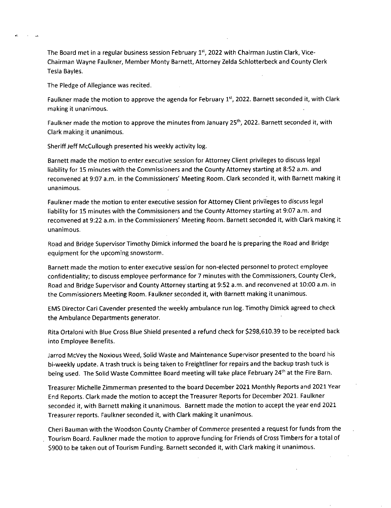The Board met in a regular business session February  $1<sup>st</sup>$ , 2022 with Chairman Justin Clark, Vice-Chairman Wayne Faulkner, Member Monty Barnett, Attorney Zelda Schlotterbeck and County Clerk Tesla Bayles.

The Pledge of Allegiance was recited.

Faulkner made the motion to approve the agenda for February 1<sup>st</sup>, 2022. Barnett seconded it, with Clark making it unanimous.

Faulkner made the motion to approve the minutes from January 25<sup>th</sup>, 2022. Barnett seconded it, with Clark making it unanimous.

Sheriff Jeff McCullough presented his weekly activity log.

Barnett made the motion to enter executive session for Attorney Client privileges to discuss legal liability for 15 minutes with the Commissioners and the County Attorney starting at 8:52 a.m. and reconvened at 9:07 a.m. in the Commissioners' Meeting Room. Clark seconded it, with Barnett making it unanimous.

Faulkner made the motion to enter executive session for Attorney Client privileges to discuss legal liability for 15 minutes with the Commissioners and the County Attorney starting at 9:07 a.m. and reconvened at 9:22 a.m. in the Commissioners' Meeting Room. Barnett seconded it, with Clark making it unanimous.

Road and Bridge Supervisor Timothy Dimick informed the board he is preparing the Road and Bridge equipment for the upcoming snowstorm.

Barnett made the motion to enter executive session for non-elected personnel to protect employee confidentiality; to discuss employee performance for 7 minutes with the Commissioners, County Clerk, Road and Bridge Supervisor and County Attorney starting at 9:52 a.m. and reconvened at 10:00 a.m. in the Commissioners Meeting Room. Faulkner seconded it, with Barnett making it unanimous.

EMS Director Cari Cavender presented the weekly ambulance run log. Timothy Dimick agreed to check the Ambulance Departments generator.

Rita Ortaloni with Blue Cross Blue Shield presented a refund check for \$298,610.39 to be receipted back into Employee Benefits.

Jarrod McVey the Noxious Weed, Solid Waste and Maintenance Supervisor presented to the board his bi-weekly update. A trash truck is being taken to Freightliner for repairs and the backup trash tuck is being used. The Solid Waste Committee Board meeting will take place February 24<sup>th</sup> at the Fire Barn.

Treasurer Michelle Zimmerman presented to the board December 2021 Monthly Reports and 2021 Year End Reports. Clark made the motion to accept the Treasurer Reports for December 2021. Faulkner seconded it, with Barnett making it unanimous. Barnett made the motion to accept the year end 2021 Treasurer reports. Faulkner seconded it, with Clark making it unanimous.

Cheri Bauman with the Woodson County Chamber of Commerce presented a request for funds from the Tourism Board. Faulkner made the motion to approve funding for Friends of Cross Timbers for a total of \$900 to be taken out of Tourism Funding. Barnett seconded it, with Clark making it unanimous.